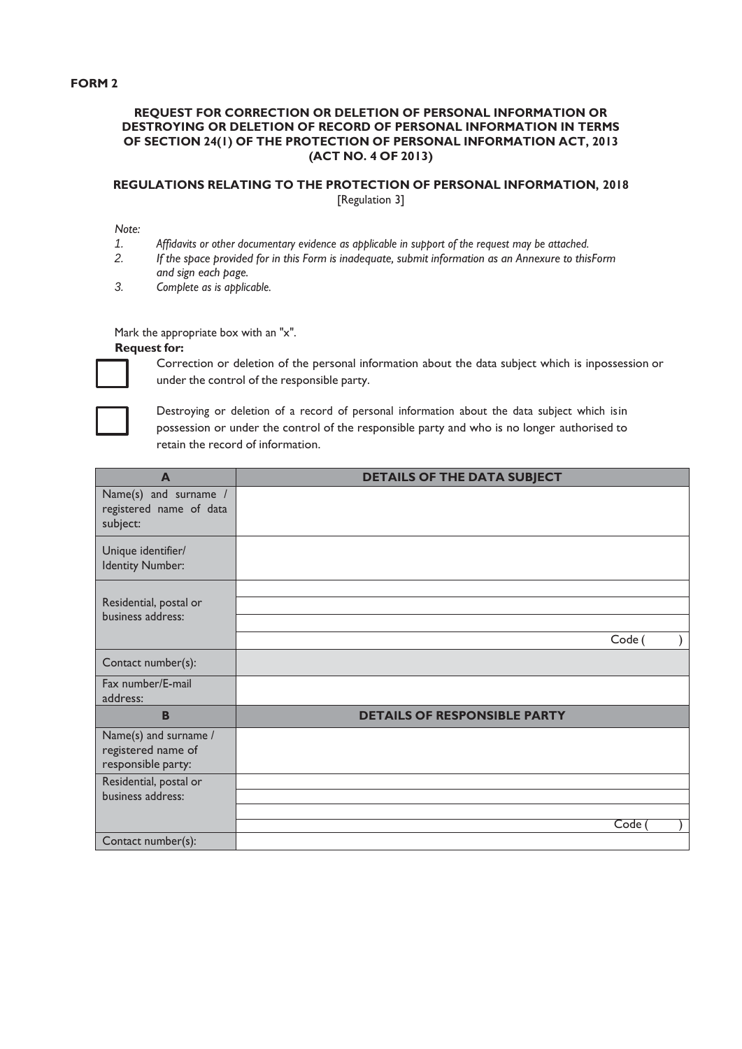## **FORM 2**

## **REQUEST FOR CORRECTION OR DELETION OF PERSONAL INFORMATION OR DESTROYING OR DELETION OF RECORD OF PERSONAL INFORMATION IN TERMS OF SECTION 24(1) OF THE PROTECTION OF PERSONAL INFORMATION ACT, 2013 (ACT NO. 4 OF 2013)**

## **REGULATIONS RELATING TO THE PROTECTION OF PERSONAL INFORMATION, 2018** [Regulation 3]

*Note:*

- *1. Affidavits or other documentary evidence as applicable in support of the request may be attached.*
- 2. If the space provided for in this Form is inadequate, submit information as an Annexure to thisForm *and sign each page.*
- *3. Complete as is applicable.*

Mark the appropriate box with an "x".

## **Request for:**



Correction or deletion of the personal information about the data subject which is inpossession or under the control of the responsible party.



Destroying or deletion of a record of personal information about the data subject which isin possession or under the control of the responsible party and who is no longer authorised to retain the record of information.

| $\blacktriangle$                                                  | <b>DETAILS OF THE DATA SUBJECT</b>  |
|-------------------------------------------------------------------|-------------------------------------|
| Name(s) and surname /<br>registered name of data<br>subject:      |                                     |
| Unique identifier/<br><b>Identity Number:</b>                     |                                     |
| Residential, postal or<br>business address:                       |                                     |
|                                                                   | Code (                              |
| Contact number(s):                                                |                                     |
| Fax number/E-mail<br>address:                                     |                                     |
| B                                                                 | <b>DETAILS OF RESPONSIBLE PARTY</b> |
| Name(s) and surname /<br>registered name of<br>responsible party: |                                     |
| Residential, postal or                                            |                                     |
| business address:                                                 |                                     |
|                                                                   | Code                                |
| Contact number(s):                                                |                                     |